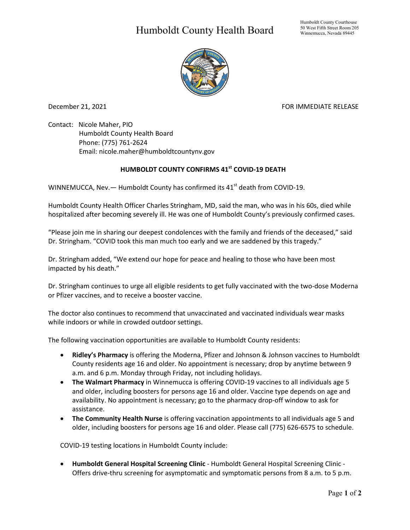## Humboldt County Health Board



December 21, 2021 **FOR IMMEDIATE RELEASE** 

Contact: Nicole Maher, PIO Humboldt County Health Board Phone: (775) 761-2624 Email: nicole.maher@humboldtcountynv.gov

## **HUMBOLDT COUNTY CONFIRMS 41st COVID-19 DEATH**

WINNEMUCCA, Nev.  $-$  Humboldt County has confirmed its 41<sup>st</sup> death from COVID-19.

Humboldt County Health Officer Charles Stringham, MD, said the man, who was in his 60s, died while hospitalized after becoming severely ill. He was one of Humboldt County's previously confirmed cases.

"Please join me in sharing our deepest condolences with the family and friends of the deceased," said Dr. Stringham. "COVID took this man much too early and we are saddened by this tragedy."

Dr. Stringham added, "We extend our hope for peace and healing to those who have been most impacted by his death."

Dr. Stringham continues to urge all eligible residents to get fully vaccinated with the two-dose Moderna or Pfizer vaccines, and to receive a booster vaccine.

The doctor also continues to recommend that unvaccinated and vaccinated individuals wear masks while indoors or while in crowded outdoor settings.

The following vaccination opportunities are available to Humboldt County residents:

- **Ridley's Pharmacy** is offering the Moderna, Pfizer and Johnson & Johnson vaccines to Humboldt County residents age 16 and older. No appointment is necessary; drop by anytime between 9 a.m. and 6 p.m. Monday through Friday, not including holidays.
- **The Walmart Pharmacy** in Winnemucca is offering COVID-19 vaccines to all individuals age 5 and older, including boosters for persons age 16 and older. Vaccine type depends on age and availability. No appointment is necessary; go to the pharmacy drop-off window to ask for assistance.
- **The Community Health Nurse** is offering vaccination appointments to all individuals age 5 and older, including boosters for persons age 16 and older. Please call (775) 626-6575 to schedule.

COVID-19 testing locations in Humboldt County include:

• **Humboldt General Hospital Screening Clinic** - Humboldt General Hospital Screening Clinic - Offers drive-thru screening for asymptomatic and symptomatic persons from 8 a.m. to 5 p.m.